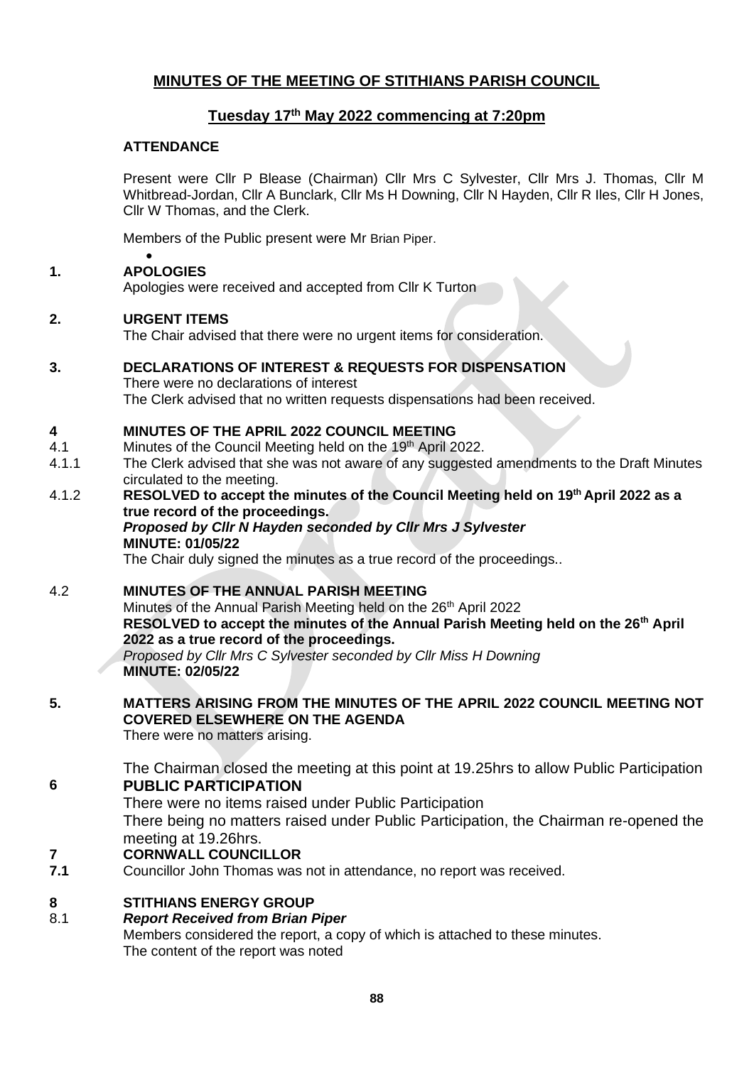## **MINUTES OF THE MEETING OF STITHIANS PARISH COUNCIL**

## **Tuesday 17th May 2022 commencing at 7:20pm**

### **ATTENDANCE**

Present were Cllr P Blease (Chairman) Cllr Mrs C Sylvester, Cllr Mrs J. Thomas, Cllr M Whitbread-Jordan, Cllr A Bunclark, Cllr Ms H Downing, Cllr N Hayden, Cllr R Iles, Cllr H Jones, Cllr W Thomas, and the Clerk.

Members of the Public present were Mr Brian Piper.

### • **1. APOLOGIES**

Apologies were received and accepted from Cllr K Turton

### **2. URGENT ITEMS**

The Chair advised that there were no urgent items for consideration.

### **3. DECLARATIONS OF INTEREST & REQUESTS FOR DISPENSATION**

There were no declarations of interest The Clerk advised that no written requests dispensations had been received.

#### **4 MINUTES OF THE APRIL 2022 COUNCIL MEETING**

- 4.1 Minutes of the Council Meeting held on the 19<sup>th</sup> April 2022.
- 4.1.1 The Clerk advised that she was not aware of any suggested amendments to the Draft Minutes circulated to the meeting.
- 4.1.2 **RESOLVED to accept the minutes of the Council Meeting held on 19th April 2022 as a true record of the proceedings.**  *Proposed by Cllr N Hayden seconded by Cllr Mrs J Sylvester*

### **MINUTE: 01/05/22**

The Chair duly signed the minutes as a true record of the proceedings..

### 4.2 **MINUTES OF THE ANNUAL PARISH MEETING**

Minutes of the Annual Parish Meeting held on the 26<sup>th</sup> April 2022 **RESOLVED to accept the minutes of the Annual Parish Meeting held on the 26th April 2022 as a true record of the proceedings.** *Proposed by Cllr Mrs C Sylvester seconded by Cllr Miss H Downing* **MINUTE: 02/05/22**

# **5. MATTERS ARISING FROM THE MINUTES OF THE APRIL 2022 COUNCIL MEETING NOT COVERED ELSEWHERE ON THE AGENDA**

There were no matters arising.

The Chairman closed the meeting at this point at 19.25hrs to allow Public Participation **6 PUBLIC PARTICIPATION**

There were no items raised under Public Participation

There being no matters raised under Public Participation, the Chairman re-opened the meeting at 19.26hrs.

#### **7 CORNWALL COUNCILLOR**

**7.1** Councillor John Thomas was not in attendance, no report was received.

## **8 STITHIANS ENERGY GROUP**

## 8.1 *Report Received from Brian Piper*

Members considered the report, a copy of which is attached to these minutes. The content of the report was noted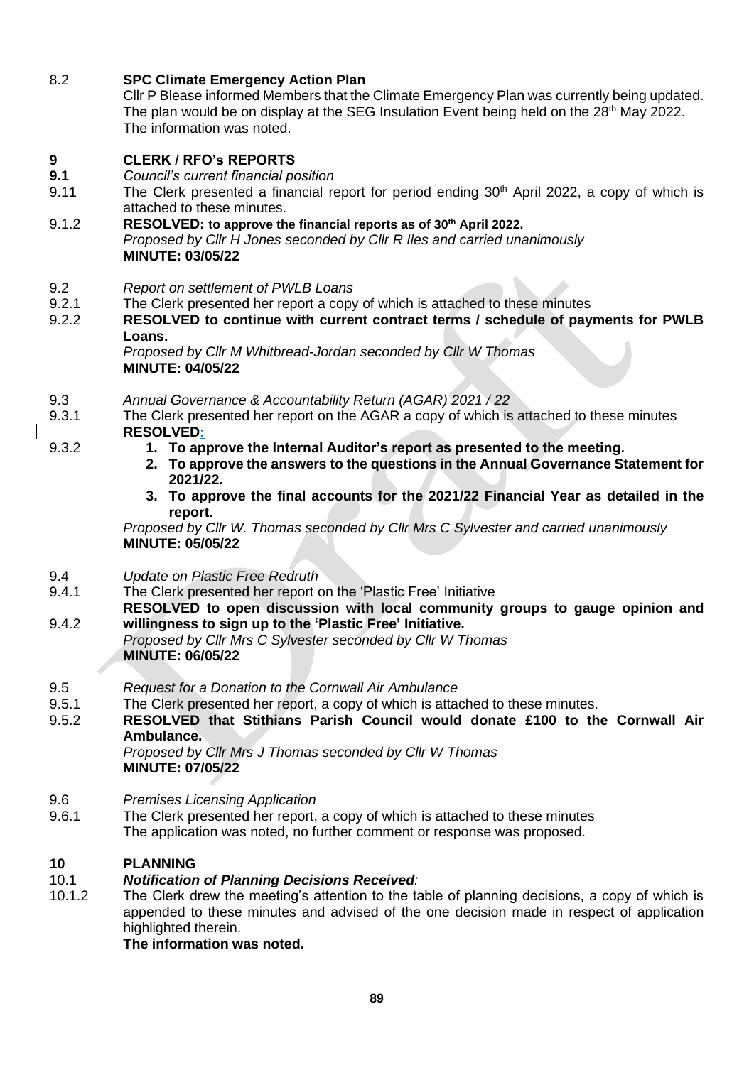8.2 **SPC Climate Emergency Action Plan**

Cllr P Blease informed Members that the Climate Emergency Plan was currently being updated. The plan would be on display at the SEG Insulation Event being held on the 28<sup>th</sup> May 2022. The information was noted.

### **9 CLERK / RFO's REPORTS**

- **9.1** *Council's current financial position*
- 9.11 The Clerk presented a financial report for period ending  $30<sup>th</sup>$  April 2022, a copy of which is attached to these minutes.
- 9.1.2 **RESOLVED: to approve the financial reports as of 30th April 2022.** *Proposed by Cllr H Jones seconded by Cllr R Iles and carried unanimously* **MINUTE: 03/05/22**
- 9.2 *Report on settlement of PWLB Loans*
- 9.2.1 The Clerk presented her report a copy of which is attached to these minutes
- 9.2.2 **RESOLVED to continue with current contract terms / schedule of payments for PWLB Loans.**

*Proposed by Cllr M Whitbread-Jordan seconded by Cllr W Thomas* **MINUTE: 04/05/22**

- 9.3 *Annual Governance & Accountability Return (AGAR) 2021 / 22*
- 9.3.1 The Clerk presented her report on the AGAR a copy of which is attached to these minutes **RESOLVED:**
	- **1. To approve the Internal Auditor's report as presented to the meeting.**
	- **2. To approve the answers to the questions in the Annual Governance Statement for 2021/22.**
	- **3. To approve the final accounts for the 2021/22 Financial Year as detailed in the report.**

*Proposed by Cllr W. Thomas seconded by Cllr Mrs C Sylvester and carried unanimously* **MINUTE: 05/05/22**

- 9.4 *Update on Plastic Free Redruth*
- 9.4.1 The Clerk presented her report on the 'Plastic Free' Initiative
- 9.4.2 **RESOLVED to open discussion with local community groups to gauge opinion and willingness to sign up to the 'Plastic Free' Initiative.**
	- *Proposed by Cllr Mrs C Sylvester seconded by Cllr W Thomas* **MINUTE: 06/05/22**
- 9.5 *Request for a Donation to the Cornwall Air Ambulance*
- 9.5.1 The Clerk presented her report, a copy of which is attached to these minutes.
- 9.5.2 **RESOLVED that Stithians Parish Council would donate £100 to the Cornwall Air Ambulance.**

*Proposed by Cllr Mrs J Thomas seconded by Cllr W Thomas* **MINUTE: 07/05/22**

- 9.6 *Premises Licensing Application*
- 9.6.1 The Clerk presented her report, a copy of which is attached to these minutes The application was noted, no further comment or response was proposed.

## **10 PLANNING**

9.3.2

#### 10.1 *Notification of Planning Decisions Received:*

10.1.2 The Clerk drew the meeting's attention to the table of planning decisions, a copy of which is appended to these minutes and advised of the one decision made in respect of application highlighted therein.

**The information was noted.**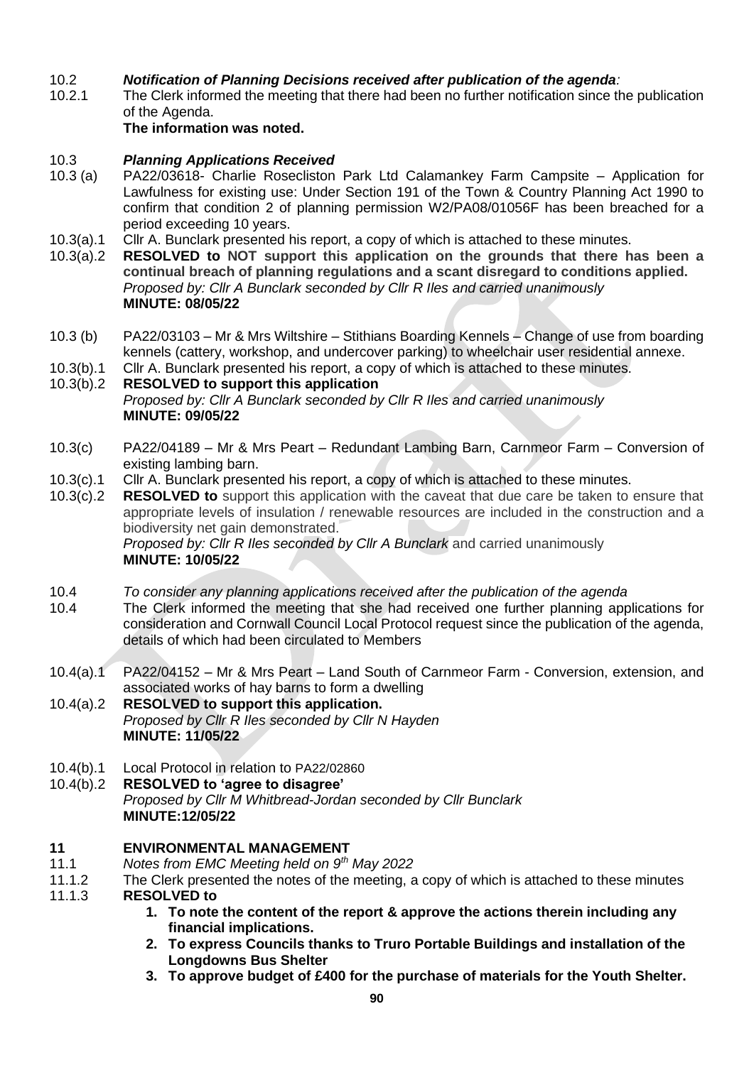#### $10.2<sub>2</sub>$ *Notification of Planning Decisions received after publication of the agenda:*

10.2.1 The Clerk informed the meeting that there had been no further notification since the publication of the Agenda.

### **The information was noted.**

### 10.3 *Planning Applications Received*

- 10.3 (a) PA22/03618- Charlie Rosecliston Park Ltd Calamankey Farm Campsite – Application for Lawfulness for existing use: Under Section 191 of the Town & Country Planning Act 1990 to confirm that condition 2 of planning permission W2/PA08/01056F has been breached for a period exceeding 10 years.
- 10.3(a).1 Cllr A. Bunclark presented his report, a copy of which is attached to these minutes.
- 10.3(a).2 **RESOLVED to NOT support this application on the grounds that there has been a continual breach of planning regulations and a scant disregard to conditions applied.** *Proposed by: Cllr A Bunclark seconded by Cllr R Iles and carried unanimously* **MINUTE: 08/05/22**
- 10.3 (b) PA22/03103 – Mr & Mrs Wiltshire – Stithians Boarding Kennels – Change of use from boarding kennels (cattery, workshop, and undercover parking) to wheelchair user residential annexe.
- 10.3(b).1 Cllr A. Bunclark presented his report, a copy of which is attached to these minutes.

#### 10.3(b).2 **RESOLVED to support this application**

*Proposed by: Cllr A Bunclark seconded by Cllr R Iles and carried unanimously* **MINUTE: 09/05/22**

- 10.3(c) PA22/04189 – Mr & Mrs Peart – Redundant Lambing Barn, Carnmeor Farm – Conversion of existing lambing barn.
- 10.3(c).1 Cllr A. Bunclark presented his report, a copy of which is attached to these minutes.
- 10.3(c).2 **RESOLVED to** support this application with the caveat that due care be taken to ensure that appropriate levels of insulation / renewable resources are included in the construction and a biodiversity net gain demonstrated.

*Proposed by: Cllr R Iles seconded by Cllr A Bunclark* and carried unanimously **MINUTE: 10/05/22**

- 10.4 *To consider any planning applications received after the publication of the agenda*
- 10.4 The Clerk informed the meeting that she had received one further planning applications for consideration and Cornwall Council Local Protocol request since the publication of the agenda, details of which had been circulated to Members
- 10.4(a).1 PA22/04152 – Mr & Mrs Peart – Land South of Carnmeor Farm - Conversion, extension, and associated works of hay barns to form a dwelling
- 10.4(a).2 **RESOLVED to support this application.** *Proposed by Cllr R Iles seconded by Cllr N Hayden* **MINUTE: 11/05/22**
- 10.4(b).1 Local Protocol in relation to PA22/02860

#### 10.4(b).2 **RESOLVED to 'agree to disagree'**

*Proposed by Cllr M Whitbread-Jordan seconded by Cllr Bunclark* **MINUTE:12/05/22**

### **11 ENVIRONMENTAL MANAGEMENT**

- 11.1 *Notes from EMC Meeting held on 9th May 2022*
- 11.1.2 The Clerk presented the notes of the meeting, a copy of which is attached to these minutes
- 11.1.3 **RESOLVED to** 
	- **1. To note the content of the report & approve the actions therein including any financial implications.**
	- **2. To express Councils thanks to Truro Portable Buildings and installation of the Longdowns Bus Shelter**
	- **3. To approve budget of £400 for the purchase of materials for the Youth Shelter.**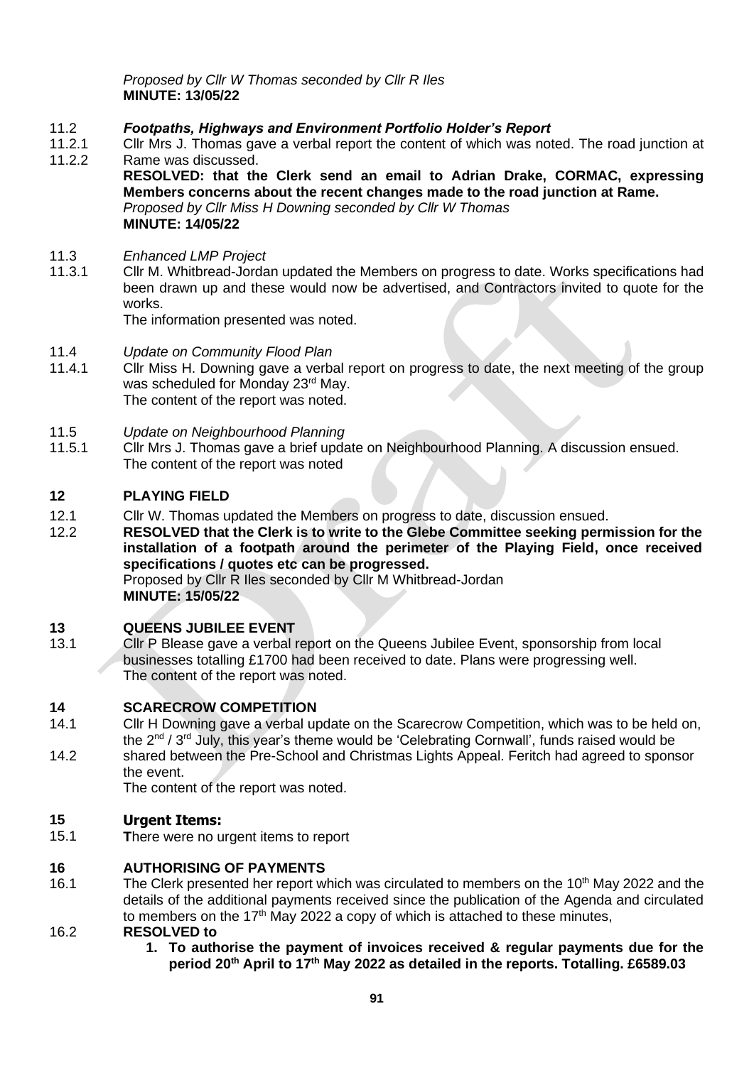*Proposed by Cllr W Thomas seconded by Cllr R Iles* **MINUTE: 13/05/22**

### 11.2 *Footpaths, Highways and Environment Portfolio Holder's Report*

- 11.2.1 Cllr Mrs J. Thomas gave a verbal report the content of which was noted. The road junction at
- 11.2.2 Rame was discussed. **RESOLVED: that the Clerk send an email to Adrian Drake, CORMAC, expressing Members concerns about the recent changes made to the road junction at Rame.** *Proposed by Cllr Miss H Downing seconded by Cllr W Thomas* **MINUTE: 14/05/22**
- 11.3 *Enhanced LMP Project*
- 11.3.1 Cllr M. Whitbread-Jordan updated the Members on progress to date. Works specifications had been drawn up and these would now be advertised, and Contractors invited to quote for the works.

The information presented was noted.

- 11.4 *Update on Community Flood Plan*
- Cllr Miss H. Downing gave a verbal report on progress to date, the next meeting of the group was scheduled for Monday 23<sup>rd</sup> May. The content of the report was noted.
- 11.5 *Update on Neighbourhood Planning*
- 11.5.1 Cllr Mrs J. Thomas gave a brief update on Neighbourhood Planning. A discussion ensued. The content of the report was noted

## **12 PLAYING FIELD**

- 12.1 Cllr W. Thomas updated the Members on progress to date, discussion ensued.
- 12.2 **RESOLVED that the Clerk is to write to the Glebe Committee seeking permission for the installation of a footpath around the perimeter of the Playing Field, once received specifications / quotes etc can be progressed.**

Proposed by Cllr R Iles seconded by Cllr M Whitbread-Jordan **MINUTE: 15/05/22**

## **13 QUEENS JUBILEE EVENT**

13.1 Cllr P Blease gave a verbal report on the Queens Jubilee Event, sponsorship from local businesses totalling £1700 had been received to date. Plans were progressing well. The content of the report was noted.

## **14 SCARECROW COMPETITION**

- 14.1 14.2 Cllr H Downing gave a verbal update on the Scarecrow Competition, which was to be held on, the  $2^{nd}$  /  $3^{rd}$  July, this year's theme would be 'Celebrating Cornwall', funds raised would be
- shared between the Pre-School and Christmas Lights Appeal. Feritch had agreed to sponsor the event.

The content of the report was noted.

#### **15 Urgent Items:**

15.1 **T**here were no urgent items to report

#### **16 AUTHORISING OF PAYMENTS**

16.1 The Clerk presented her report which was circulated to members on the 10<sup>th</sup> May 2022 and the details of the additional payments received since the publication of the Agenda and circulated to members on the  $17<sup>th</sup>$  May 2022 a copy of which is attached to these minutes,

#### 16.2 **RESOLVED to**

**1. To authorise the payment of invoices received & regular payments due for the period 20th April to 17 th May 2022 as detailed in the reports. Totalling. £6589.03**